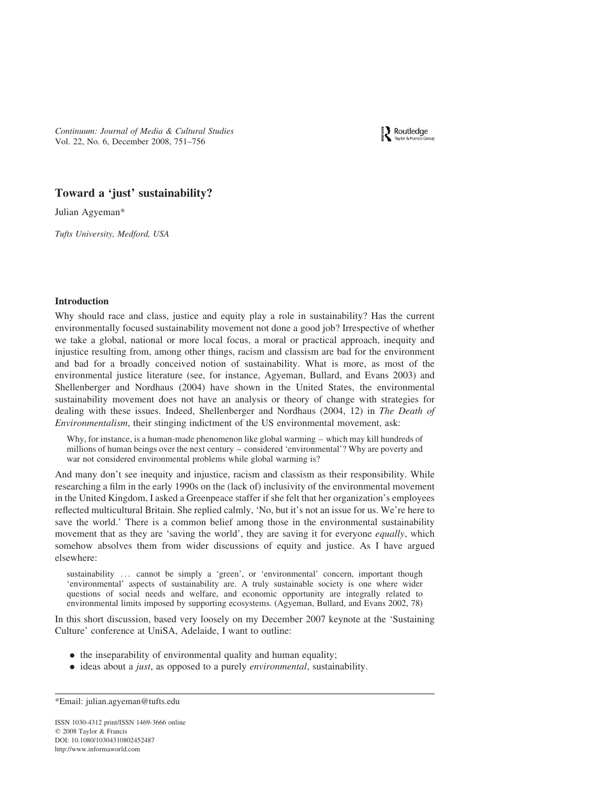Continuum: Journal of Media & Cultural Studies Vol. 22, No. 6, December 2008, 751–756

**D** Routledge

# Toward a 'just' sustainability?

Julian Agyeman\*

Tufts University, Medford, USA

## Introduction

Why should race and class, justice and equity play a role in sustainability? Has the current environmentally focused sustainability movement not done a good job? Irrespective of whether we take a global, national or more local focus, a moral or practical approach, inequity and injustice resulting from, among other things, racism and classism are bad for the environment and bad for a broadly conceived notion of sustainability. What is more, as most of the environmental justice literature (see, for instance, Agyeman, Bullard, and Evans 2003) and Shellenberger and Nordhaus (2004) have shown in the United States, the environmental sustainability movement does not have an analysis or theory of change with strategies for dealing with these issues. Indeed, Shellenberger and Nordhaus (2004, 12) in The Death of Environmentalism, their stinging indictment of the US environmental movement, ask:

Why, for instance, is a human-made phenomenon like global warming – which may kill hundreds of millions of human beings over the next century – considered 'environmental'? Why are poverty and war not considered environmental problems while global warming is?

And many don't see inequity and injustice, racism and classism as their responsibility. While researching a film in the early 1990s on the (lack of) inclusivity of the environmental movement in the United Kingdom, I asked a Greenpeace staffer if she felt that her organization's employees reflected multicultural Britain. She replied calmly, 'No, but it's not an issue for us. We're here to save the world.' There is a common belief among those in the environmental sustainability movement that as they are 'saving the world', they are saving it for everyone *equally*, which somehow absolves them from wider discussions of equity and justice. As I have argued elsewhere:

sustainability ... cannot be simply a 'green', or 'environmental' concern, important though 'environmental' aspects of sustainability are. A truly sustainable society is one where wider questions of social needs and welfare, and economic opportunity are integrally related to environmental limits imposed by supporting ecosystems. (Agyeman, Bullard, and Evans 2002, 78)

In this short discussion, based very loosely on my December 2007 keynote at the 'Sustaining Culture' conference at UniSA, Adelaide, I want to outline:

- . the inseparability of environmental quality and human equality;
- $\bullet$  ideas about a *just*, as opposed to a purely *environmental*, sustainability.

ISSN 1030-4312 print/ISSN 1469-3666 online  $© 2008 Taylor & Francis$ DOI: 10.1080/10304310802452487 http://www.informaworld.com

<sup>\*</sup>Email: julian.agyeman@tufts.edu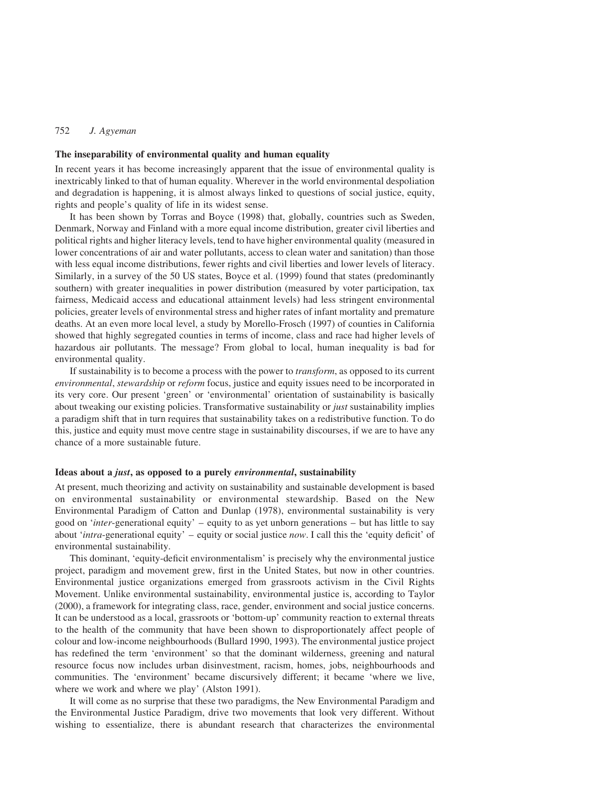# 752 J. Agyeman

## The inseparability of environmental quality and human equality

In recent years it has become increasingly apparent that the issue of environmental quality is inextricably linked to that of human equality. Wherever in the world environmental despoliation and degradation is happening, it is almost always linked to questions of social justice, equity, rights and people's quality of life in its widest sense.

It has been shown by Torras and Boyce (1998) that, globally, countries such as Sweden, Denmark, Norway and Finland with a more equal income distribution, greater civil liberties and political rights and higher literacy levels, tend to have higher environmental quality (measured in lower concentrations of air and water pollutants, access to clean water and sanitation) than those with less equal income distributions, fewer rights and civil liberties and lower levels of literacy. Similarly, in a survey of the 50 US states, Boyce et al. (1999) found that states (predominantly southern) with greater inequalities in power distribution (measured by voter participation, tax fairness, Medicaid access and educational attainment levels) had less stringent environmental policies, greater levels of environmental stress and higher rates of infant mortality and premature deaths. At an even more local level, a study by Morello-Frosch (1997) of counties in California showed that highly segregated counties in terms of income, class and race had higher levels of hazardous air pollutants. The message? From global to local, human inequality is bad for environmental quality.

If sustainability is to become a process with the power to *transform*, as opposed to its current environmental, stewardship or reform focus, justice and equity issues need to be incorporated in its very core. Our present 'green' or 'environmental' orientation of sustainability is basically about tweaking our existing policies. Transformative sustainability or *just* sustainability implies a paradigm shift that in turn requires that sustainability takes on a redistributive function. To do this, justice and equity must move centre stage in sustainability discourses, if we are to have any chance of a more sustainable future.

#### Ideas about a just, as opposed to a purely environmental, sustainability

At present, much theorizing and activity on sustainability and sustainable development is based on environmental sustainability or environmental stewardship. Based on the New Environmental Paradigm of Catton and Dunlap (1978), environmental sustainability is very good on 'inter-generational equity' – equity to as yet unborn generations – but has little to say about 'intra-generational equity' – equity or social justice now. I call this the 'equity deficit' of environmental sustainability.

This dominant, 'equity-deficit environmentalism' is precisely why the environmental justice project, paradigm and movement grew, first in the United States, but now in other countries. Environmental justice organizations emerged from grassroots activism in the Civil Rights Movement. Unlike environmental sustainability, environmental justice is, according to Taylor (2000), a framework for integrating class, race, gender, environment and social justice concerns. It can be understood as a local, grassroots or 'bottom-up' community reaction to external threats to the health of the community that have been shown to disproportionately affect people of colour and low-income neighbourhoods (Bullard 1990, 1993). The environmental justice project has redefined the term 'environment' so that the dominant wilderness, greening and natural resource focus now includes urban disinvestment, racism, homes, jobs, neighbourhoods and communities. The 'environment' became discursively different; it became 'where we live, where we work and where we play' (Alston 1991).

It will come as no surprise that these two paradigms, the New Environmental Paradigm and the Environmental Justice Paradigm, drive two movements that look very different. Without wishing to essentialize, there is abundant research that characterizes the environmental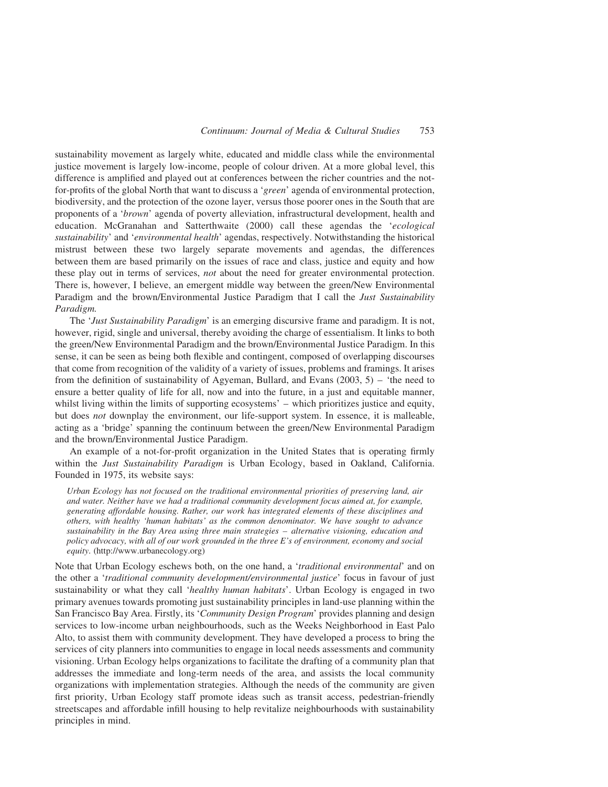sustainability movement as largely white, educated and middle class while the environmental justice movement is largely low-income, people of colour driven. At a more global level, this difference is amplified and played out at conferences between the richer countries and the notfor-profits of the global North that want to discuss a 'green' agenda of environmental protection, biodiversity, and the protection of the ozone layer, versus those poorer ones in the South that are proponents of a 'brown' agenda of poverty alleviation, infrastructural development, health and education. McGranahan and Satterthwaite (2000) call these agendas the 'ecological sustainability' and 'environmental health' agendas, respectively. Notwithstanding the historical mistrust between these two largely separate movements and agendas, the differences between them are based primarily on the issues of race and class, justice and equity and how these play out in terms of services, not about the need for greater environmental protection. There is, however, I believe, an emergent middle way between the green/New Environmental Paradigm and the brown/Environmental Justice Paradigm that I call the *Just Sustainability* Paradigm.

The 'Just Sustainability Paradigm' is an emerging discursive frame and paradigm. It is not, however, rigid, single and universal, thereby avoiding the charge of essentialism. It links to both the green/New Environmental Paradigm and the brown/Environmental Justice Paradigm. In this sense, it can be seen as being both flexible and contingent, composed of overlapping discourses that come from recognition of the validity of a variety of issues, problems and framings. It arises from the definition of sustainability of Agyeman, Bullard, and Evans  $(2003, 5)$  – 'the need to ensure a better quality of life for all, now and into the future, in a just and equitable manner, whilst living within the limits of supporting ecosystems' – which prioritizes justice and equity, but does not downplay the environment, our life-support system. In essence, it is malleable, acting as a 'bridge' spanning the continuum between the green/New Environmental Paradigm and the brown/Environmental Justice Paradigm.

An example of a not-for-profit organization in the United States that is operating firmly within the Just Sustainability Paradigm is Urban Ecology, based in Oakland, California. Founded in 1975, its website says:

Urban Ecology has not focused on the traditional environmental priorities of preserving land, air and water. Neither have we had a traditional community development focus aimed at, for example, generating affordable housing. Rather, our work has integrated elements of these disciplines and others, with healthy 'human habitats' as the common denominator. We have sought to advance sustainability in the Bay Area using three main strategies – alternative visioning, education and policy advocacy, with all of our work grounded in the three E's of environment, economy and social equity. (http://www.urbanecology.org)

Note that Urban Ecology eschews both, on the one hand, a *'traditional environmental'* and on the other a 'traditional community development/environmental justice' focus in favour of just sustainability or what they call 'healthy human habitats'. Urban Ecology is engaged in two primary avenues towards promoting just sustainability principles in land-use planning within the San Francisco Bay Area. Firstly, its 'Community Design Program' provides planning and design services to low-income urban neighbourhoods, such as the Weeks Neighborhood in East Palo Alto, to assist them with community development. They have developed a process to bring the services of city planners into communities to engage in local needs assessments and community visioning. Urban Ecology helps organizations to facilitate the drafting of a community plan that addresses the immediate and long-term needs of the area, and assists the local community organizations with implementation strategies. Although the needs of the community are given first priority, Urban Ecology staff promote ideas such as transit access, pedestrian-friendly streetscapes and affordable infill housing to help revitalize neighbourhoods with sustainability principles in mind.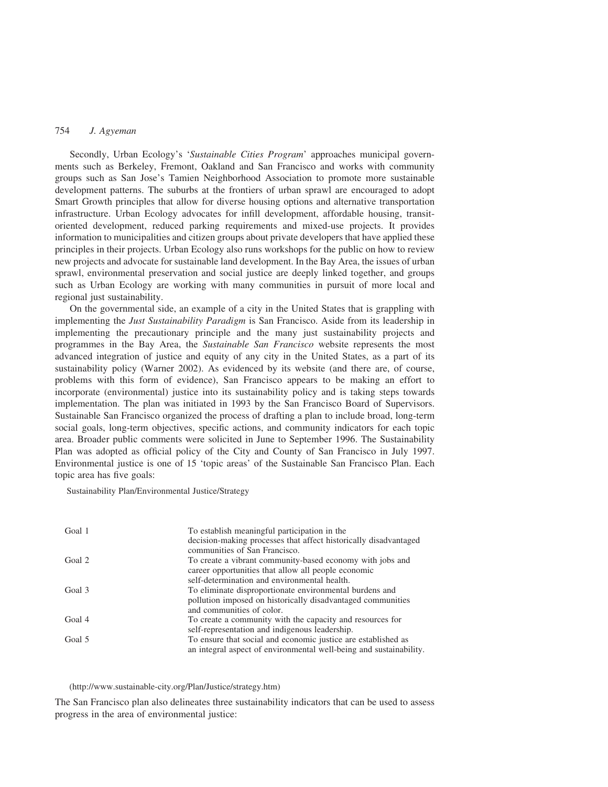## 754 J. Agyeman

Secondly, Urban Ecology's 'Sustainable Cities Program' approaches municipal governments such as Berkeley, Fremont, Oakland and San Francisco and works with community groups such as San Jose's Tamien Neighborhood Association to promote more sustainable development patterns. The suburbs at the frontiers of urban sprawl are encouraged to adopt Smart Growth principles that allow for diverse housing options and alternative transportation infrastructure. Urban Ecology advocates for infill development, affordable housing, transitoriented development, reduced parking requirements and mixed-use projects. It provides information to municipalities and citizen groups about private developers that have applied these principles in their projects. Urban Ecology also runs workshops for the public on how to review new projects and advocate for sustainable land development. In the Bay Area, the issues of urban sprawl, environmental preservation and social justice are deeply linked together, and groups such as Urban Ecology are working with many communities in pursuit of more local and regional just sustainability.

On the governmental side, an example of a city in the United States that is grappling with implementing the Just Sustainability Paradigm is San Francisco. Aside from its leadership in implementing the precautionary principle and the many just sustainability projects and programmes in the Bay Area, the Sustainable San Francisco website represents the most advanced integration of justice and equity of any city in the United States, as a part of its sustainability policy (Warner 2002). As evidenced by its website (and there are, of course, problems with this form of evidence), San Francisco appears to be making an effort to incorporate (environmental) justice into its sustainability policy and is taking steps towards implementation. The plan was initiated in 1993 by the San Francisco Board of Supervisors. Sustainable San Francisco organized the process of drafting a plan to include broad, long-term social goals, long-term objectives, specific actions, and community indicators for each topic area. Broader public comments were solicited in June to September 1996. The Sustainability Plan was adopted as official policy of the City and County of San Francisco in July 1997. Environmental justice is one of 15 'topic areas' of the Sustainable San Francisco Plan. Each topic area has five goals:

Sustainability Plan/Environmental Justice/Strategy

| Goal 1 | To establish meaningful participation in the<br>decision-making processes that affect historically disadvantaged<br>communities of San Francisco.                |
|--------|------------------------------------------------------------------------------------------------------------------------------------------------------------------|
| Goal 2 | To create a vibrant community-based economy with jobs and<br>career opportunities that allow all people economic<br>self-determination and environmental health. |
|        |                                                                                                                                                                  |
| Goal 3 | To eliminate disproportionate environmental burdens and                                                                                                          |
|        | pollution imposed on historically disadvantaged communities<br>and communities of color.                                                                         |
| Goal 4 | To create a community with the capacity and resources for                                                                                                        |
|        | self-representation and indigenous leadership.                                                                                                                   |
| Goal 5 | To ensure that social and economic justice are established as<br>an integral aspect of environmental well-being and sustainability.                              |

(http://www.sustainable-city.org/Plan/Justice/strategy.htm)

The San Francisco plan also delineates three sustainability indicators that can be used to assess progress in the area of environmental justice: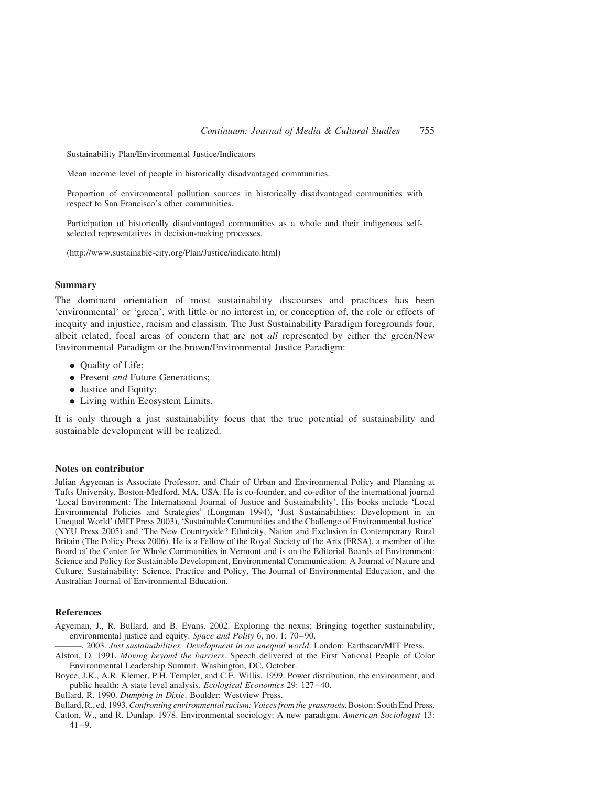Sustainability Plan/Environmental Justice/Indicators

Mean income level of people in historically disadvantaged communities.

Proportion of environmental pollution sources in historically disadvantaged communities with respect to San Francisco's other communities.

Participation of historically disadvantaged communities as a whole and their indigenous selfselected representatives in decision-making processes.

(http://www.sustainable-city.org/Plan/Justice/indicato.html)

### Summary

The dominant orientation of most sustainability discourses and practices has been 'environmental' or 'green', with little or no interest in, or conception of, the role or effects of inequity and injustice, racism and classism. The Just Sustainability Paradigm foregrounds four, albeit related, focal areas of concern that are not all represented by either the green/New Environmental Paradigm or the brown/Environmental Justice Paradigm:

- . Quality of Life;
- Present and Future Generations;
- . Justice and Equity;
- . Living within Ecosystem Limits.

It is only through a just sustainability focus that the true potential of sustainability and sustainable development will be realized.

### Notes on contributor

Julian Agyeman is Associate Professor, and Chair of Urban and Environmental Policy and Planning at Tufts University, Boston-Medford, MA, USA. He is co-founder, and co-editor of the international journal 'Local Environment: The International Journal of Justice and Sustainability'. His books include 'Local Environmental Policies and Strategies' (Longman 1994), 'Just Sustainabilities: Development in an Unequal World' (MIT Press 2003), 'Sustainable Communities and the Challenge of Environmental Justice' (NYU Press 2005) and 'The New Countryside? Ethnicity, Nation and Exclusion in Contemporary Rural Britain (The Policy Press 2006). He is a Fellow of the Royal Society of the Arts (FRSA), a member of the Board of the Center for Whole Communities in Vermont and is on the Editorial Boards of Environment: Science and Policy for Sustainable Development, Environmental Communication: A Journal of Nature and Culture, Sustainability: Science, Practice and Policy, The Journal of Environmental Education, and the Australian Journal of Environmental Education.

#### References

- Agyeman, J., R. Bullard, and B. Evans. 2002. Exploring the nexus: Bringing together sustainability, environmental justice and equity. Space and Polity 6, no. 1: 70–90.
- . 2003. Just sustainabilities: Development in an unequal world. London: Earthscan/MIT Press.

Alston, D. 1991. Moving beyond the barriers. Speech delivered at the First National People of Color Environmental Leadership Summit. Washington, DC, October.

Boyce, J.K., A.R. Klemer, P.H. Templet, and C.E. Willis. 1999. Power distribution, the environment, and public health: A state level analysis. Ecological Economics 29: 127–40.

Bullard, R. 1990. Dumping in Dixie. Boulder: Westview Press.

Bullard, R., ed. 1993.Confronting environmental racism: Voices from the grassroots. Boston: South End Press.

Catton, W., and R. Dunlap. 1978. Environmental sociology: A new paradigm. American Sociologist 13:  $41 - 9.$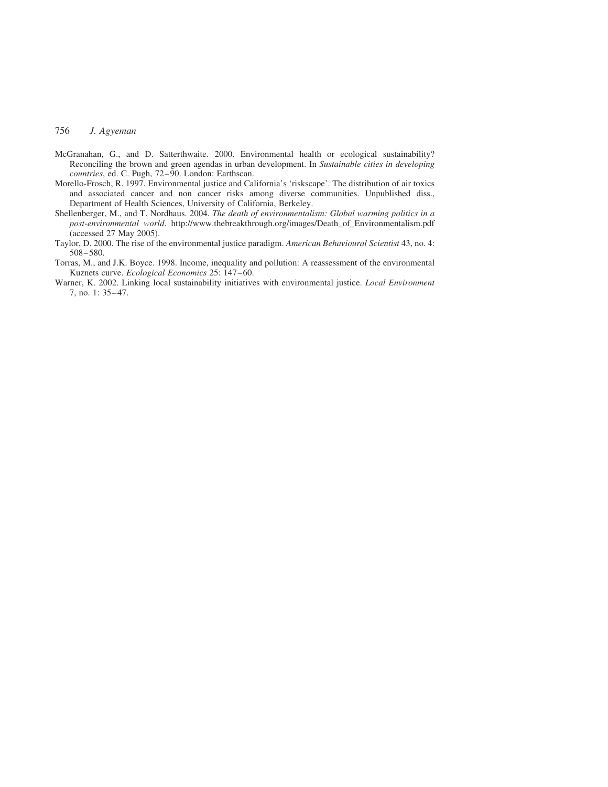# 756 J. Agyeman

- McGranahan, G., and D. Satterthwaite. 2000. Environmental health or ecological sustainability? Reconciling the brown and green agendas in urban development. In Sustainable cities in developing countries, ed. C. Pugh, 72-90. London: Earthscan.
- Morello-Frosch, R. 1997. Environmental justice and California's 'riskscape'. The distribution of air toxics and associated cancer and non cancer risks among diverse communities. Unpublished diss., Department of Health Sciences, University of California, Berkeley.
- Shellenberger, M., and T. Nordhaus. 2004. The death of environmentalism: Global warming politics in a post-environmental world. http://www.thebreakthrough.org/images/Death\_of\_Environmentalism.pdf (accessed 27 May 2005).
- Taylor, D. 2000. The rise of the environmental justice paradigm. American Behavioural Scientist 43, no. 4: 508– 580.
- Torras, M., and J.K. Boyce. 1998. Income, inequality and pollution: A reassessment of the environmental Kuznets curve. Ecological Economics 25: 147-60.
- Warner, K. 2002. Linking local sustainability initiatives with environmental justice. Local Environment 7, no. 1: 35 – 47.